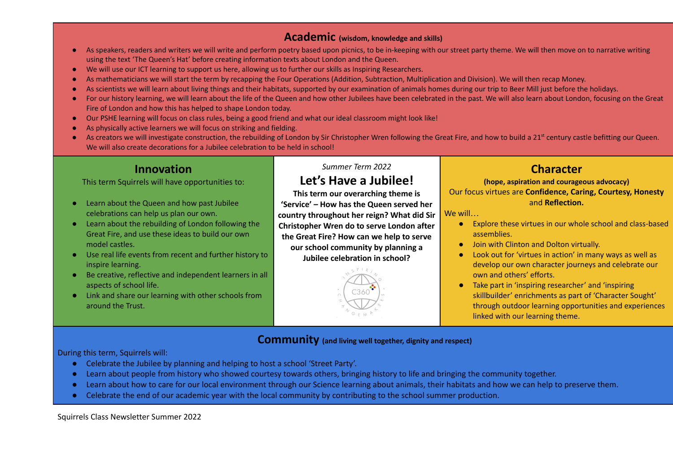#### **Academic (wisdom, knowledge and skills)**

- As speakers, readers and writers we will write and perform poetry based upon picnics, to be in-keeping with our street party theme. We will then move on to narrative writing using the text 'The Queen's Hat' before creating information texts about London and the Queen.
- We will use our ICT learning to support us here, allowing us to further our skills as Inspiring Researchers.
- As mathematicians we will start the term by recapping the Four Operations (Addition, Subtraction, Multiplication and Division). We will then recap Money.
- As scientists we will learn about living things and their habitats, supported by our examination of animals homes during our trip to Beer Mill just before the holidays.
- For our history learning, we will learn about the life of the Queen and how other Jubilees have been celebrated in the past. We will also learn about London, focusing on the Great Fire of London and how this has helped to shape London today.
- Our PSHE learning will focus on class rules, being a good friend and what our ideal classroom might look like!
- As physically active learners we will focus on striking and fielding.
- As creators we will investigate construction, the rebuilding of London by Sir Christopher Wren following the Great Fire, and how to build a 21<sup>st</sup> century castle befitting our Queen. We will also create decorations for a Jubilee celebration to be held in school!

### **Innovation**

This term Squirrels will have opportunities to:

- Learn about the Queen and how past Jubilee celebrations can help us plan our own.
- Learn about the rebuilding of London following the Great Fire, and use these ideas to build our own model castles.
- Use real life events from recent and further history to inspire learning.
- Be creative, reflective and independent learners in all aspects of school life.
- Link and share our learning with other schools from around the Trust.

#### *Summer Term 2022*

# **Let's Have a Jubilee!**

**This term our overarching theme is 'Service' – How has the Queen served her country throughout her reign? What did Sir Christopher Wren do to serve London after the Great Fire? How can we help to serve our school community by planning a Jubilee celebration in school?**



# **Character**

**(hope, aspiration and courageous advocacy)** Our focus virtues are **Confidence, Caring, Courtesy, Honesty** and **Reflection.**

We will…

- Explore these virtues in our whole school and class-based assemblies.
- Join with Clinton and Dolton virtually.
- Look out for 'virtues in action' in many ways as well as develop our own character journeys and celebrate our own and others' efforts.
- Take part in 'inspiring researcher' and 'inspiring skillbuilder' enrichments as part of 'Character Sought' through outdoor learning opportunities and experiences linked with our learning theme.

#### **Community (and living well together, dignity and respect)**

During this term, Squirrels will:

- Celebrate the Jubilee by planning and helping to host a school 'Street Party'.
- Learn about people from history who showed courtesy towards others, bringing history to life and bringing the community together.
- Learn about how to care for our local environment through our Science learning about animals, their habitats and how we can help to preserve them.
- Celebrate the end of our academic year with the local community by contributing to the school summer production.

Squirrels Class Newsletter Summer 2022